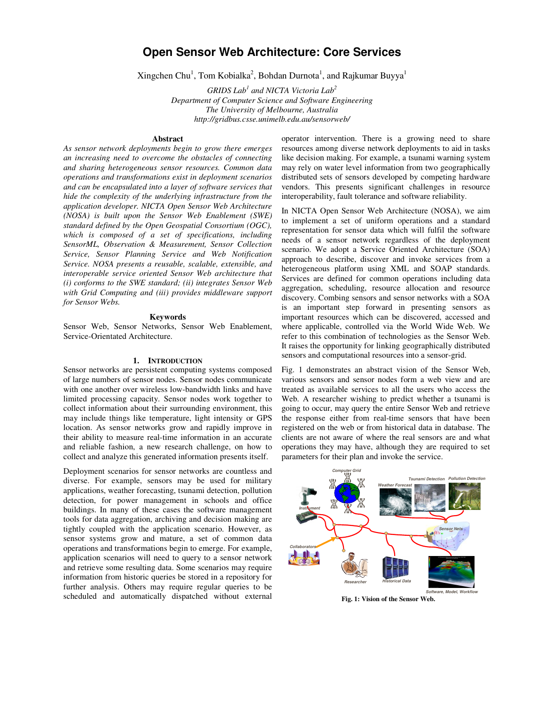# **Open Sensor Web Architecture: Core Services**

Xingchen Chu<sup>1</sup>, Tom Kobialka<sup>2</sup>, Bohdan Durnota<sup>1</sup>, and Rajkumar Buyya<sup>1</sup>

*GRIDS Lab<sup>1</sup> and NICTA Victoria Lab<sup>2</sup> Department of Computer Science and Software Engineering The University of Melbourne, Australia http://gridbus.csse.unimelb.edu.au/sensorweb/* 

# **Abstract**

*As sensor network deployments begin to grow there emerges an increasing need to overcome the obstacles of connecting and sharing heterogeneous sensor resources. Common data operations and transformations exist in deployment scenarios and can be encapsulated into a layer of software services that hide the complexity of the underlying infrastructure from the application developer. NICTA Open Sensor Web Architecture (NOSA) is built upon the Sensor Web Enablement (SWE) standard defined by the Open Geospatial Consortium (OGC), which is composed of a set of specifications, including SensorML, Observation & Measurement, Sensor Collection Service, Sensor Planning Service and Web Notification Service. NOSA presents a reusable, scalable, extensible, and interoperable service oriented Sensor Web architecture that (i) conforms to the SWE standard; (ii) integrates Sensor Web with Grid Computing and (iii) provides middleware support for Sensor Webs.* 

### **Keywords**

Sensor Web, Sensor Networks, Sensor Web Enablement, Service-Orientated Architecture.

# **1. INTRODUCTION**

Sensor networks are persistent computing systems composed of large numbers of sensor nodes. Sensor nodes communicate with one another over wireless low-bandwidth links and have limited processing capacity. Sensor nodes work together to collect information about their surrounding environment, this may include things like temperature, light intensity or GPS location. As sensor networks grow and rapidly improve in their ability to measure real-time information in an accurate and reliable fashion, a new research challenge, on how to collect and analyze this generated information presents itself.

Deployment scenarios for sensor networks are countless and diverse. For example, sensors may be used for military applications, weather forecasting, tsunami detection, pollution detection, for power management in schools and office buildings. In many of these cases the software management tools for data aggregation, archiving and decision making are tightly coupled with the application scenario. However, as sensor systems grow and mature, a set of common data operations and transformations begin to emerge. For example, application scenarios will need to query to a sensor network and retrieve some resulting data. Some scenarios may require information from historic queries be stored in a repository for further analysis. Others may require regular queries to be scheduled and automatically dispatched without external operator intervention. There is a growing need to share resources among diverse network deployments to aid in tasks like decision making. For example, a tsunami warning system may rely on water level information from two geographically distributed sets of sensors developed by competing hardware vendors. This presents significant challenges in resource interoperability, fault tolerance and software reliability.

In NICTA Open Sensor Web Architecture (NOSA), we aim to implement a set of uniform operations and a standard representation for sensor data which will fulfil the software needs of a sensor network regardless of the deployment scenario. We adopt a Service Oriented Architecture (SOA) approach to describe, discover and invoke services from a heterogeneous platform using XML and SOAP standards. Services are defined for common operations including data aggregation, scheduling, resource allocation and resource discovery. Combing sensors and sensor networks with a SOA is an important step forward in presenting sensors as important resources which can be discovered, accessed and where applicable, controlled via the World Wide Web. We refer to this combination of technologies as the Sensor Web. It raises the opportunity for linking geographically distributed sensors and computational resources into a sensor-grid.

Fig. 1 demonstrates an abstract vision of the Sensor Web, various sensors and sensor nodes form a web view and are treated as available services to all the users who access the Web. A researcher wishing to predict whether a tsunami is going to occur, may query the entire Sensor Web and retrieve the response either from real-time sensors that have been registered on the web or from historical data in database. The clients are not aware of where the real sensors are and what operations they may have, although they are required to set parameters for their plan and invoke the service.



**Fig. 1: Vision of the Sensor Web.**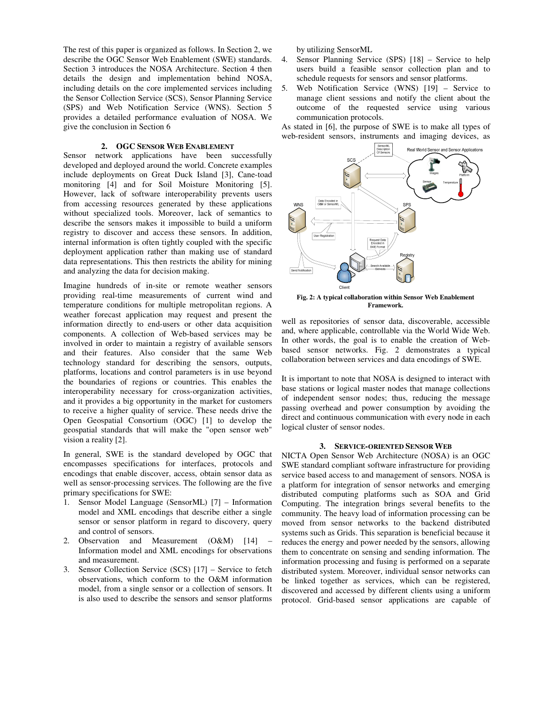The rest of this paper is organized as follows. In Section 2, we describe the OGC Sensor Web Enablement (SWE) standards. Section 3 introduces the NOSA Architecture. Section 4 then details the design and implementation behind NOSA, including details on the core implemented services including the Sensor Collection Service (SCS), Sensor Planning Service (SPS) and Web Notification Service (WNS). Section 5 provides a detailed performance evaluation of NOSA. We give the conclusion in Section 6

# **2. OGC SENSOR WEB ENABLEMENT**

Sensor network applications have been successfully developed and deployed around the world. Concrete examples include deployments on Great Duck Island [3], Cane-toad monitoring [4] and for Soil Moisture Monitoring [5]. However, lack of software interoperability prevents users from accessing resources generated by these applications without specialized tools. Moreover, lack of semantics to describe the sensors makes it impossible to build a uniform registry to discover and access these sensors. In addition, internal information is often tightly coupled with the specific deployment application rather than making use of standard data representations. This then restricts the ability for mining and analyzing the data for decision making.

Imagine hundreds of in-site or remote weather sensors providing real-time measurements of current wind and temperature conditions for multiple metropolitan regions. A weather forecast application may request and present the information directly to end-users or other data acquisition components. A collection of Web-based services may be involved in order to maintain a registry of available sensors and their features. Also consider that the same Web technology standard for describing the sensors, outputs, platforms, locations and control parameters is in use beyond the boundaries of regions or countries. This enables the interoperability necessary for cross-organization activities, and it provides a big opportunity in the market for customers to receive a higher quality of service. These needs drive the Open Geospatial Consortium (OGC) [1] to develop the geospatial standards that will make the "open sensor web" vision a reality [2].

In general, SWE is the standard developed by OGC that encompasses specifications for interfaces, protocols and encodings that enable discover, access, obtain sensor data as well as sensor-processing services. The following are the five primary specifications for SWE:

- 1. Sensor Model Language (SensorML) [7] Information model and XML encodings that describe either a single sensor or sensor platform in regard to discovery, query and control of sensors.
- 2. Observation and Measurement (O&M) [14] Information model and XML encodings for observations and measurement.
- 3. Sensor Collection Service (SCS) [17] Service to fetch observations, which conform to the O&M information model, from a single sensor or a collection of sensors. It is also used to describe the sensors and sensor platforms

by utilizing SensorML

- 4. Sensor Planning Service (SPS) [18] Service to help users build a feasible sensor collection plan and to schedule requests for sensors and sensor platforms.
- 5. Web Notification Service (WNS) [19] Service to manage client sessions and notify the client about the outcome of the requested service using various communication protocols.

As stated in [6], the purpose of SWE is to make all types of web-resident sensors, instruments and imaging devices, as



**Fig. 2: A typical collaboration within Sensor Web Enablement Framework.** 

well as repositories of sensor data, discoverable, accessible and, where applicable, controllable via the World Wide Web. In other words, the goal is to enable the creation of Webbased sensor networks. Fig. 2 demonstrates a typical collaboration between services and data encodings of SWE.

It is important to note that NOSA is designed to interact with base stations or logical master nodes that manage collections of independent sensor nodes; thus, reducing the message passing overhead and power consumption by avoiding the direct and continuous communication with every node in each logical cluster of sensor nodes.

#### **3. SERVICE-ORIENTED SENSOR WEB**

NICTA Open Sensor Web Architecture (NOSA) is an OGC SWE standard compliant software infrastructure for providing service based access to and management of sensors. NOSA is a platform for integration of sensor networks and emerging distributed computing platforms such as SOA and Grid Computing. The integration brings several benefits to the community. The heavy load of information processing can be moved from sensor networks to the backend distributed systems such as Grids. This separation is beneficial because it reduces the energy and power needed by the sensors, allowing them to concentrate on sensing and sending information. The information processing and fusing is performed on a separate distributed system. Moreover, individual sensor networks can be linked together as services, which can be registered, discovered and accessed by different clients using a uniform protocol. Grid-based sensor applications are capable of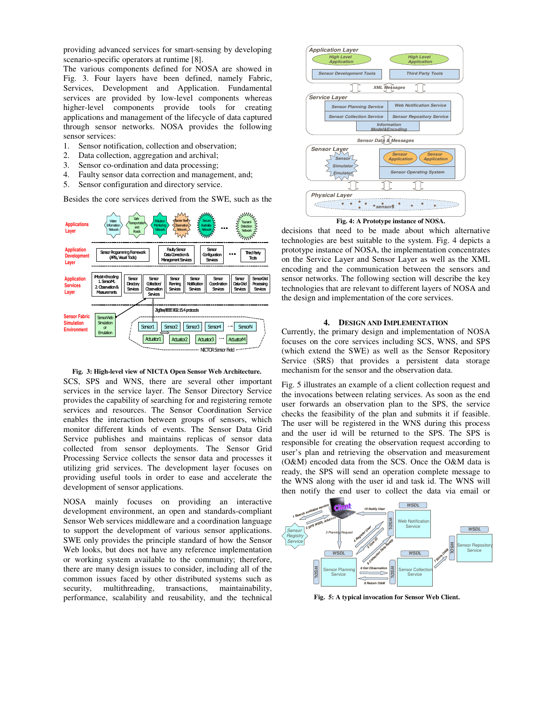providing advanced services for smart-sensing by developing scenario-specific operators at runtime [8].

The various components defined for NOSA are showed in Fig. 3. Four layers have been defined, namely Fabric, Services, Development and Application. Fundamental services are provided by low-level components whereas higher-level components provide tools for creating applications and management of the lifecycle of data captured through sensor networks. NOSA provides the following sensor services:

- 1. Sensor notification, collection and observation;
- 2. Data collection, aggregation and archival;
- 3. Sensor co-ordination and data processing;
- 4. Faulty sensor data correction and management, and;
- 5. Sensor configuration and directory service.

Besides the core services derived from the SWE, such as the



# **Fig. 3: High-level view of NICTA Open Sensor Web Architecture.**

SCS, SPS and WNS, there are several other important services in the service layer. The Sensor Directory Service provides the capability of searching for and registering remote services and resources. The Sensor Coordination Service enables the interaction between groups of sensors, which monitor different kinds of events. The Sensor Data Grid Service publishes and maintains replicas of sensor data collected from sensor deployments. The Sensor Grid Processing Service collects the sensor data and processes it utilizing grid services. The development layer focuses on providing useful tools in order to ease and accelerate the development of sensor applications.

NOSA mainly focuses on providing an interactive development environment, an open and standards-compliant Sensor Web services middleware and a coordination language to support the development of various sensor applications. SWE only provides the principle standard of how the Sensor Web looks, but does not have any reference implementation or working system available to the community; therefore, there are many design issues to consider, including all of the common issues faced by other distributed systems such as security, multithreading, transactions, maintainability, security, multithreading, performance, scalability and reusability, and the technical



**Fig. 4: A Prototype instance of NOSA.** 

decisions that need to be made about which alternative technologies are best suitable to the system. Fig. 4 depicts a prototype instance of NOSA, the implementation concentrates on the Service Layer and Sensor Layer as well as the XML encoding and the communication between the sensors and sensor networks. The following section will describe the key technologies that are relevant to different layers of NOSA and the design and implementation of the core services.

## **4. DESIGN AND IMPLEMENTATION**

Currently, the primary design and implementation of NOSA focuses on the core services including SCS, WNS, and SPS (which extend the SWE) as well as the Sensor Repository Service (SRS) that provides a persistent data storage mechanism for the sensor and the observation data.

Fig. 5 illustrates an example of a client collection request and the invocations between relating services. As soon as the end user forwards an observation plan to the SPS, the service checks the feasibility of the plan and submits it if feasible. The user will be registered in the WNS during this process and the user id will be returned to the SPS. The SPS is responsible for creating the observation request according to user's plan and retrieving the observation and measurement (O&M) encoded data from the SCS. Once the O&M data is ready, the SPS will send an operation complete message to the WNS along with the user id and task id. The WNS will then notify the end user to collect the data via email or



**Fig. 5: A typical invocation for Sensor Web Client.**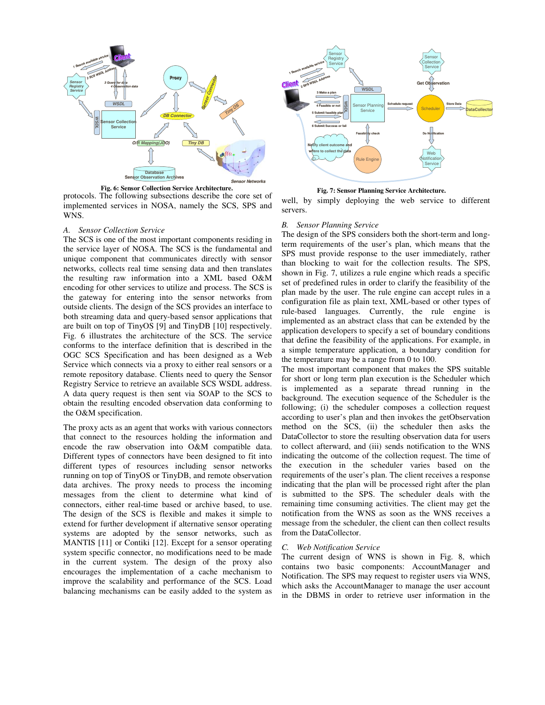

protocols. The following subsections describe the core set of implemented services in NOSA, namely the SCS, SPS and WNS. **Fig. 6: Sensor Collection Service Architecture.**

#### *A. Sensor Collection Service*

The SCS is one of the most important components residing in the service layer of NOSA. The SCS is the fundamental and unique component that communicates directly with sensor networks, collects real time sensing data and then translates the resulting raw information into a XML based O&M encoding for other services to utilize and process. The SCS is the gateway for entering into the sensor networks from outside clients. The design of the SCS provides an interface to both streaming data and query-based sensor applications that are built on top of TinyOS [9] and TinyDB [10] respectively. Fig. 6 illustrates the architecture of the SCS. The service conforms to the interface definition that is described in the OGC SCS Specification and has been designed as a Web Service which connects via a proxy to either real sensors or a remote repository database. Clients need to query the Sensor Registry Service to retrieve an available SCS WSDL address. A data query request is then sent via SOAP to the SCS to obtain the resulting encoded observation data conforming to the O&M specification.

The proxy acts as an agent that works with various connectors that connect to the resources holding the information and encode the raw observation into O&M compatible data. Different types of connectors have been designed to fit into different types of resources including sensor networks running on top of TinyOS or TinyDB, and remote observation data archives. The proxy needs to process the incoming messages from the client to determine what kind of connectors, either real-time based or archive based, to use. The design of the SCS is flexible and makes it simple to extend for further development if alternative sensor operating systems are adopted by the sensor networks, such as MANTIS [11] or Contiki [12]. Except for a sensor operating system specific connector, no modifications need to be made in the current system. The design of the proxy also encourages the implementation of a cache mechanism to improve the scalability and performance of the SCS. Load balancing mechanisms can be easily added to the system as



**Fig. 7: Sensor Planning Service Architecture.** 

well, by simply deploying the web service to different servers.

### *B. Sensor Planning Service*

The design of the SPS considers both the short-term and longterm requirements of the user's plan, which means that the SPS must provide response to the user immediately, rather than blocking to wait for the collection results. The SPS, shown in Fig. 7, utilizes a rule engine which reads a specific set of predefined rules in order to clarify the feasibility of the plan made by the user. The rule engine can accept rules in a configuration file as plain text, XML-based or other types of rule-based languages. Currently, the rule engine is implemented as an abstract class that can be extended by the application developers to specify a set of boundary conditions that define the feasibility of the applications. For example, in a simple temperature application, a boundary condition for the temperature may be a range from 0 to 100.

The most important component that makes the SPS suitable for short or long term plan execution is the Scheduler which is implemented as a separate thread running in the background. The execution sequence of the Scheduler is the following; (i) the scheduler composes a collection request according to user's plan and then invokes the getObservation method on the SCS, (ii) the scheduler then asks the DataCollector to store the resulting observation data for users to collect afterward, and (iii) sends notification to the WNS indicating the outcome of the collection request. The time of the execution in the scheduler varies based on the requirements of the user's plan. The client receives a response indicating that the plan will be processed right after the plan is submitted to the SPS. The scheduler deals with the remaining time consuming activities. The client may get the notification from the WNS as soon as the WNS receives a message from the scheduler, the client can then collect results from the DataCollector.

# *C. Web Notification Service*

The current design of WNS is shown in Fig. 8, which contains two basic components: AccountManager and Notification. The SPS may request to register users via WNS, which asks the AccountManager to manage the user account in the DBMS in order to retrieve user information in the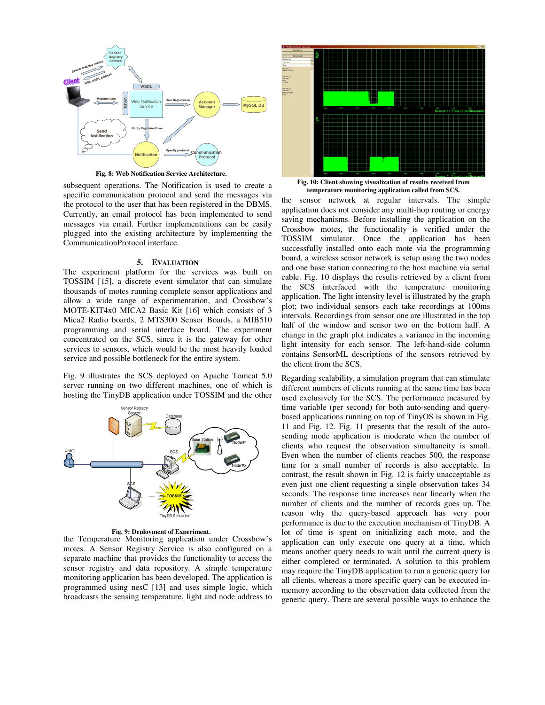

**Fig. 8: Web Notification Service Architecture.** 

subsequent operations. The Notification is used to create a specific communication protocol and send the messages via the protocol to the user that has been registered in the DBMS. Currently, an email protocol has been implemented to send messages via email. Further implementations can be easily plugged into the existing architecture by implementing the CommunicationProtocol interface.

#### **5. EVALUATION**

The experiment platform for the services was built on TOSSIM [15], a discrete event simulator that can simulate thousands of motes running complete sensor applications and allow a wide range of experimentation, and Crossbow's MOTE-KIT4x0 MICA2 Basic Kit [16] which consists of 3 Mica2 Radio boards, 2 MTS300 Sensor Boards, a MIB510 programming and serial interface board. The experiment concentrated on the SCS, since it is the gateway for other services to sensors, which would be the most heavily loaded service and possible bottleneck for the entire system.

Fig. 9 illustrates the SCS deployed on Apache Tomcat 5.0 server running on two different machines, one of which is hosting the TinyDB application under TOSSIM and the other



**Fig. 9: Deployment of Experiment.**

the Temperature Monitoring application under Crossbow's motes. A Sensor Registry Service is also configured on a separate machine that provides the functionality to access the sensor registry and data repository. A simple temperature monitoring application has been developed. The application is programmed using nesC [13] and uses simple logic, which broadcasts the sensing temperature, light and node address to



**Fig. 10: Client showing visualization of results received from temperature monitoring application called from SCS.**

the sensor network at regular intervals. The simple application does not consider any multi-hop routing or energy saving mechanisms. Before installing the application on the Crossbow motes, the functionality is verified under the TOSSIM simulator. Once the application has been successfully installed onto each mote via the programming board, a wireless sensor network is setup using the two nodes and one base station connecting to the host machine via serial cable. Fig. 10 displays the results retrieved by a client from the SCS interfaced with the temperature monitoring application. The light intensity level is illustrated by the graph plot; two individual sensors each take recordings at 100ms intervals. Recordings from sensor one are illustrated in the top half of the window and sensor two on the bottom half. A change in the graph plot indicates a variance in the incoming light intensity for each sensor. The left-hand-side column contains SensorML descriptions of the sensors retrieved by the client from the SCS.

Regarding scalability, a simulation program that can stimulate different numbers of clients running at the same time has been used exclusively for the SCS. The performance measured by time variable (per second) for both auto-sending and querybased applications running on top of TinyOS is shown in Fig. 11 and Fig. 12. Fig. 11 presents that the result of the autosending mode application is moderate when the number of clients who request the observation simultaneity is small. Even when the number of clients reaches 500, the response time for a small number of records is also acceptable. In contrast, the result shown in Fig. 12 is fairly unacceptable as even just one client requesting a single observation takes 34 seconds. The response time increases near linearly when the number of clients and the number of records goes up. The reason why the query-based approach has very poor performance is due to the execution mechanism of TinyDB. A lot of time is spent on initializing each mote, and the application can only execute one query at a time, which means another query needs to wait until the current query is either completed or terminated. A solution to this problem may require the TinyDB application to run a generic query for all clients, whereas a more specific query can be executed inmemory according to the observation data collected from the generic query. There are several possible ways to enhance the